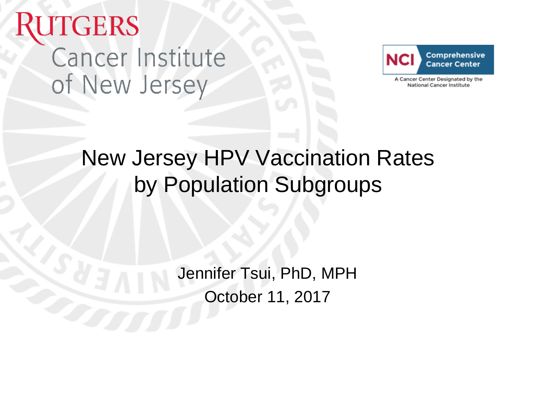# **UTGERS Cancer Institute** of New Jersey



A Cancer Center Designated by the National Cancer Institute

### New Jersey HPV Vaccination Rates by Population Subgroups

Jennifer Tsui, PhD, MPH October 11, 2017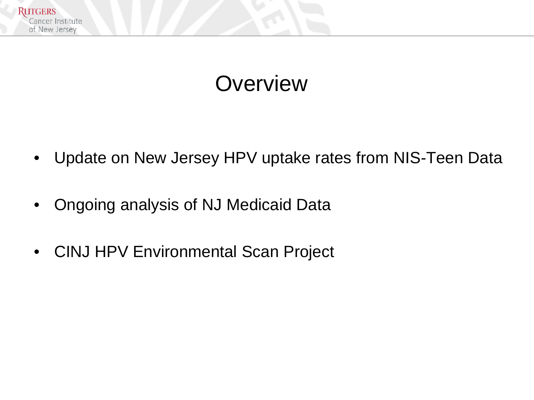

#### **Overview**

- Update on New Jersey HPV uptake rates from NIS-Teen Data
- Ongoing analysis of NJ Medicaid Data
- CINJ HPV Environmental Scan Project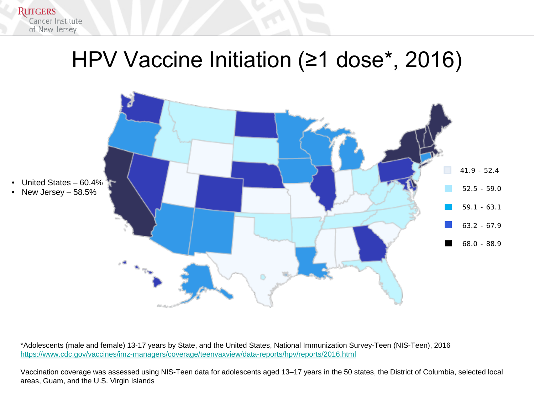

#### HPV Vaccine Initiation (≥1 dose\*, 2016)



\*Adolescents (male and female) 13-17 years by State, and the United States, National Immunization Survey-Teen (NIS-Teen), 2016 <https://www.cdc.gov/vaccines/imz-managers/coverage/teenvaxview/data-reports/hpv/reports/2016.html>

Vaccination coverage was assessed using NIS-Teen data for adolescents aged 13–17 years in the 50 states, the District of Columbia, selected local areas, Guam, and the U.S. Virgin Islands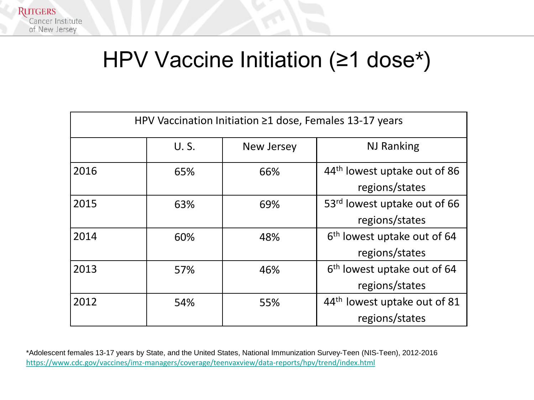

### HPV Vaccine Initiation (≥1 dose\*)

| HPV Vaccination Initiation $\geq 1$ dose, Females 13-17 years |      |            |                                          |  |  |  |
|---------------------------------------------------------------|------|------------|------------------------------------------|--|--|--|
|                                                               | U.S. | New Jersey | <b>NJ Ranking</b>                        |  |  |  |
| 2016                                                          | 65%  | 66%        | 44 <sup>th</sup> lowest uptake out of 86 |  |  |  |
|                                                               |      |            | regions/states                           |  |  |  |
| 2015                                                          | 63%  | 69%        | 53 <sup>rd</sup> lowest uptake out of 66 |  |  |  |
|                                                               |      |            | regions/states                           |  |  |  |
| 2014                                                          | 60%  | 48%        | 6 <sup>th</sup> lowest uptake out of 64  |  |  |  |
|                                                               |      |            | regions/states                           |  |  |  |
| 2013                                                          | 57%  | 46%        | 6 <sup>th</sup> lowest uptake out of 64  |  |  |  |
|                                                               |      |            | regions/states                           |  |  |  |
| 2012                                                          | 54%  | 55%        | 44th lowest uptake out of 81             |  |  |  |
|                                                               |      |            | regions/states                           |  |  |  |

\*Adolescent females 13-17 years by State, and the United States, National Immunization Survey-Teen (NIS-Teen), 2012-2016 https://www.cdc.gov/vaccines/imz-[managers/coverage/teenvaxview/data](https://www.cdc.gov/vaccines/imz-managers/coverage/teenvaxview/data-reports/hpv/trend/index.html)-reports/hpv/trend/index.html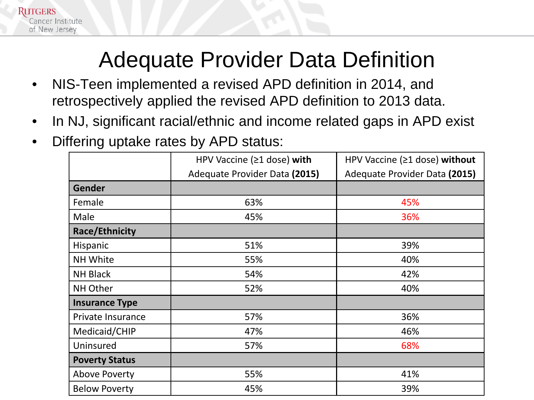

#### Adequate Provider Data Definition

- NIS-Teen implemented a revised APD definition in 2014, and retrospectively applied the revised APD definition to 2013 data.
- In NJ, significant racial/ethnic and income related gaps in APD exist
- Differing uptake rates by APD status:

|                       | HPV Vaccine (≥1 dose) with    | HPV Vaccine (≥1 dose) without |  |
|-----------------------|-------------------------------|-------------------------------|--|
|                       | Adequate Provider Data (2015) | Adequate Provider Data (2015) |  |
| <b>Gender</b>         |                               |                               |  |
| Female                | 63%                           | 45%                           |  |
| Male                  | 45%                           | 36%                           |  |
| <b>Race/Ethnicity</b> |                               |                               |  |
| Hispanic              | 51%                           | 39%                           |  |
| NH White              | 55%                           | 40%                           |  |
| <b>NH Black</b>       | 54%                           | 42%                           |  |
| NH Other              | 52%                           | 40%                           |  |
| <b>Insurance Type</b> |                               |                               |  |
| Private Insurance     | 57%                           | 36%                           |  |
| Medicaid/CHIP         | 47%                           | 46%                           |  |
| Uninsured             | 57%                           | 68%                           |  |
| <b>Poverty Status</b> |                               |                               |  |
| <b>Above Poverty</b>  | 55%                           | 41%                           |  |
| <b>Below Poverty</b>  | 45%                           | 39%                           |  |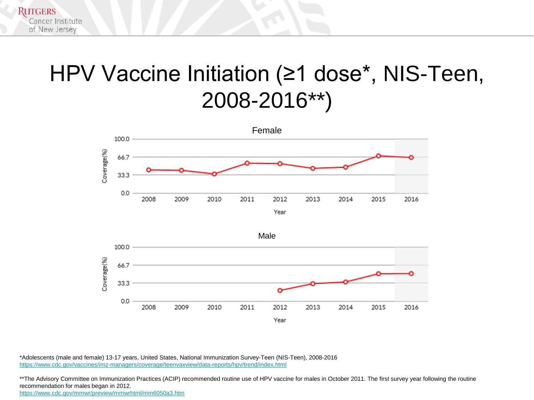### HPV Vaccine Initiation (≥1 dose\*, NIS-Teen, 2008-2016\*\*)







\*Adolescents (male and female) 13-17 years, United States, National Immunization Survey-Teen (NIS-Teen), 2008-2016 <https://www.cdc.gov/vaccines/imz-managers/coverage/teenvaxview/data-reports/hpv/trend/index.html>

\*\*The Advisory Committee on Immunization Practices (ACIP) recommended routine use of HPV vaccine for males in October 2011. The first survey year following the routine recommendation for males began in 2012.

<https://www.cdc.gov/mmwr/preview/mmwrhtml/mm6050a3.htm>

**RUTGERS** 

Cancer Institute of New Jersey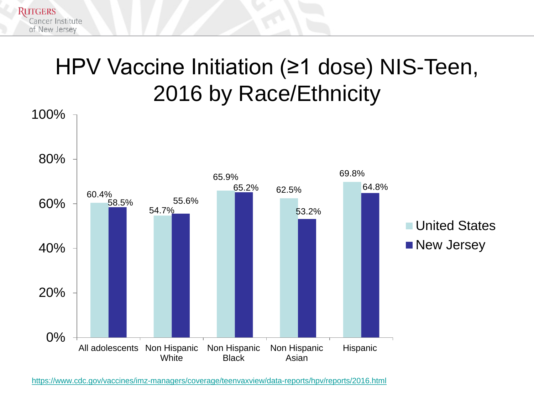### HPV Vaccine Initiation (≥1 dose) NIS-Teen, 2016 by Race/Ethnicity

**RUTGERS** 

Cancer Institute of New Jersey



<https://www.cdc.gov/vaccines/imz-managers/coverage/teenvaxview/data-reports/hpv/reports/2016.html>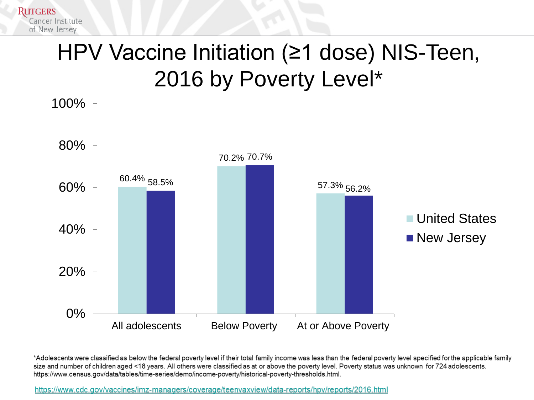

## HPV Vaccine Initiation (≥1 dose) NIS-Teen, 2016 by Poverty Level\*



\*Adolescents were classified as below the federal poverty level if their total family income was less than the federal poverty level specified for the applicable family size and number of children aged <18 years. All others were classified as at or above the poverty level. Poverty status was unknown for 724 adolescents. https://www.census.gov/data/tables/time-series/demo/income-poverty/historical-poverty-thresholds.html.

https://www.cdc.gov/vaccines/imz-managers/coverage/teenvaxview/data-reports/hpv/reports/2016.html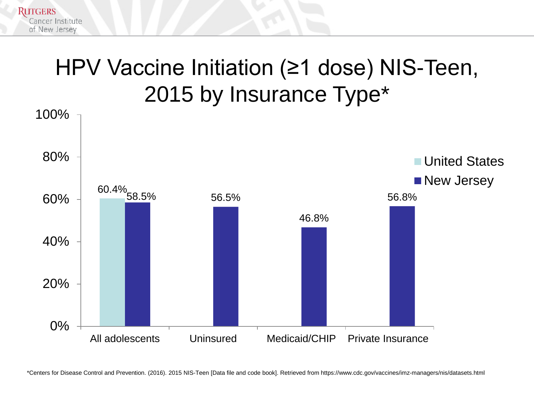

**RUTGERS** 

Cancer Institute of New Jersey



\*Centers for Disease Control and Prevention. (2016). 2015 NIS-Teen [Data file and code book]. Retrieved from https://www.cdc.gov/vaccines/imz-managers/nis/datasets.html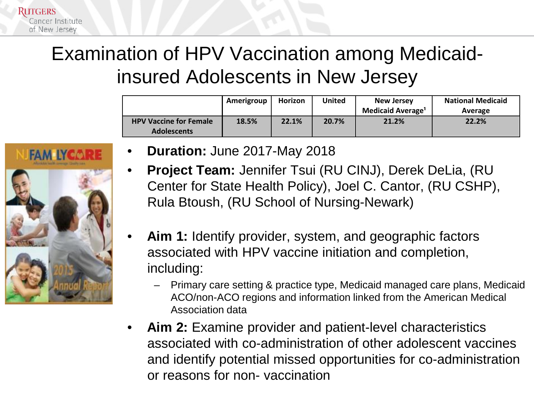

#### Examination of HPV Vaccination among Medicaidinsured Adolescents in New Jersey

|                                                     | Amerigroup | Horizon | <b>United</b> | <b>New Jersey</b><br><b>Medicaid Average<sup>1</sup></b> | <b>National Medicaid</b><br>Average |
|-----------------------------------------------------|------------|---------|---------------|----------------------------------------------------------|-------------------------------------|
| <b>HPV Vaccine for Female</b><br><b>Adolescents</b> | 18.5%      | 22.1%   | 20.7%         | 21.2%                                                    | 22.2%                               |

- **FAM IYCAI**
- **Duration:** June 2017-May 2018
- **Project Team:** Jennifer Tsui (RU CINJ), Derek DeLia, (RU Center for State Health Policy), Joel C. Cantor, (RU CSHP), Rula Btoush, (RU School of Nursing-Newark)
- **Aim 1:** Identify provider, system, and geographic factors associated with HPV vaccine initiation and completion, including:
	- Primary care setting & practice type, Medicaid managed care plans, Medicaid ACO/non-ACO regions and information linked from the American Medical Association data
- **Aim 2:** Examine provider and patient-level characteristics associated with co-administration of other adolescent vaccines and identify potential missed opportunities for co-administration or reasons for non- vaccination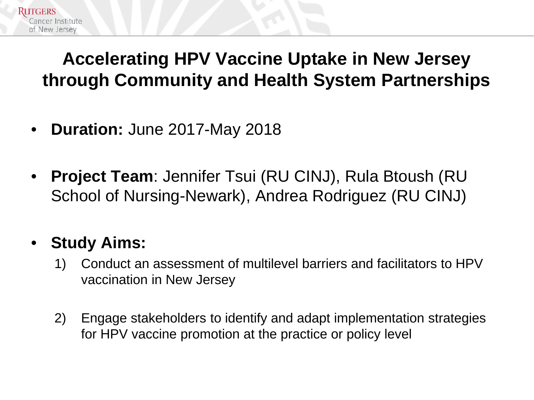#### **Accelerating HPV Vaccine Uptake in New Jersey through Community and Health System Partnerships**

- **Duration:** June 2017-May 2018
- **Project Team**: Jennifer Tsui (RU CINJ), Rula Btoush (RU School of Nursing-Newark), Andrea Rodriguez (RU CINJ)

#### • **Study Aims:**

Cancer Institute. of New Jersey

- 1) Conduct an assessment of multilevel barriers and facilitators to HPV vaccination in New Jersey
- 2) Engage stakeholders to identify and adapt implementation strategies for HPV vaccine promotion at the practice or policy level